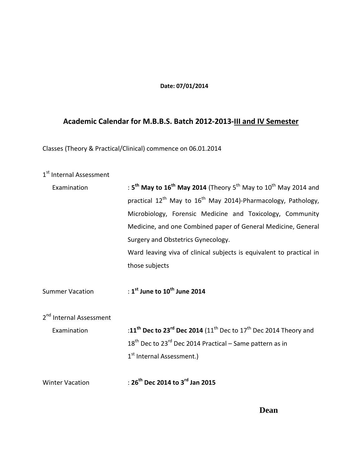### **Date: 07/01/2014**

# **Academic Calendar for M.B.B.S. Batch 2012-2013-III and IV Semester**

Classes (Theory & Practical/Clinical) commence on 06.01.2014

## 1<sup>st</sup> Internal Assessment

| Examination                                        | : 5 <sup>th</sup> May to 16 <sup>th</sup> May 2014 (Theory 5 <sup>th</sup> May to 10 <sup>th</sup> May 2014 and<br>practical 12 <sup>th</sup> May to 16 <sup>th</sup> May 2014)-Pharmacology, Pathology,<br>Microbiology, Forensic Medicine and Toxicology, Community<br>Medicine, and one Combined paper of General Medicine, General<br>Surgery and Obstetrics Gynecology.<br>Ward leaving viva of clinical subjects is equivalent to practical in |
|----------------------------------------------------|------------------------------------------------------------------------------------------------------------------------------------------------------------------------------------------------------------------------------------------------------------------------------------------------------------------------------------------------------------------------------------------------------------------------------------------------------|
| <b>Summer Vacation</b>                             | those subjects<br>: $1^{\text{st}}$ June to $10^{\text{th}}$ June 2014                                                                                                                                                                                                                                                                                                                                                                               |
| 2 <sup>nd</sup> Internal Assessment<br>Examination | :11 <sup>th</sup> Dec to 23 <sup>rd</sup> Dec 2014 (11 <sup>th</sup> Dec to 17 <sup>th</sup> Dec 2014 Theory and<br>$18th$ Dec to 23 <sup>rd</sup> Dec 2014 Practical – Same pattern as in<br>1 <sup>st</sup> Internal Assessment.)                                                                                                                                                                                                                  |
| <b>Winter Vacation</b>                             | : $26^{th}$ Dec 2014 to 3 <sup>rd</sup> Jan 2015                                                                                                                                                                                                                                                                                                                                                                                                     |

 **Dean**